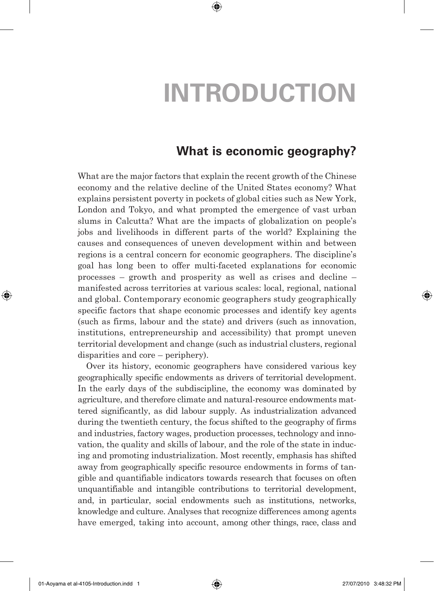# **INTRODUCTION**

# **What is economic geography?**

What are the major factors that explain the recent growth of the Chinese economy and the relative decline of the United States economy? What explains persistent poverty in pockets of global cities such as New York, London and Tokyo, and what prompted the emergence of vast urban slums in Calcutta? What are the impacts of globalization on people's jobs and livelihoods in different parts of the world? Explaining the causes and consequences of uneven development within and between regions is a central concern for economic geographers. The discipline's goal has long been to offer multi-faceted explanations for economic processes – growth and prosperity as well as crises and decline – manifested across territories at various scales: local, regional, national and global. Contemporary economic geographers study geographically specific factors that shape economic processes and identify key agents (such as firms, labour and the state) and drivers (such as innovation, institutions, entrepreneurship and accessibility) that prompt uneven territorial development and change (such as industrial clusters, regional disparities and core – periphery).

 $\bigcirc$ 

Over its history, economic geographers have considered various key geographically specific endowments as drivers of territorial development. In the early days of the subdiscipline, the economy was dominated by agriculture, and therefore climate and natural-resource endowments mattered significantly, as did labour supply. As industrialization advanced during the twentieth century, the focus shifted to the geography of firms and industries, factory wages, production processes, technology and innovation, the quality and skills of labour, and the role of the state in inducing and promoting industrialization. Most recently, emphasis has shifted away from geographically specific resource endowments in forms of tangible and quantifiable indicators towards research that focuses on often unquantifiable and intangible contributions to territorial development, and, in particular, social endowments such as institutions, networks, knowledge and culture. Analyses that recognize differences among agents have emerged, taking into account, among other things, race, class and

⊕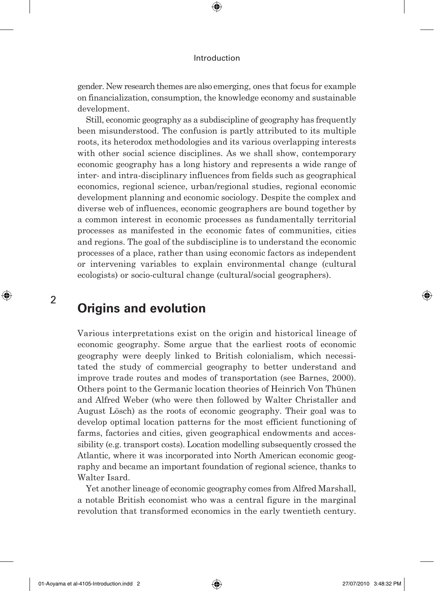⊕

gender. New research themes are also emerging, ones that focus for example on financialization, consumption, the knowledge economy and sustainable development.

Still, economic geography as a subdiscipline of geography has frequently been misunderstood. The confusion is partly attributed to its multiple roots, its heterodox methodologies and its various overlapping interests with other social science disciplines. As we shall show, contemporary economic geography has a long history and represents a wide range of inter- and intra-disciplinary influences from fields such as geographical economics, regional science, urban/regional studies, regional economic development planning and economic sociology. Despite the complex and diverse web of influences, economic geographers are bound together by a common interest in economic processes as fundamentally territorial processes as manifested in the economic fates of communities, cities and regions. The goal of the subdiscipline is to understand the economic processes of a place, rather than using economic factors as independent or intervening variables to explain environmental change (cultural ecologists) or socio-cultural change (cultural/social geographers).

⊕

# **Origins and evolution**

Various interpretations exist on the origin and historical lineage of economic geography. Some argue that the earliest roots of economic geography were deeply linked to British colonialism, which necessitated the study of commercial geography to better understand and improve trade routes and modes of transportation (see Barnes, 2000). Others point to the Germanic location theories of Heinrich Von Thünen and Alfred Weber (who were then followed by Walter Christaller and August Lösch) as the roots of economic geography. Their goal was to develop optimal location patterns for the most efficient functioning of farms, factories and cities, given geographical endowments and accessibility (e.g. transport costs). Location modelling subsequently crossed the Atlantic, where it was incorporated into North American economic geography and became an important foundation of regional science, thanks to Walter Isard.

Yet another lineage of economic geography comes from Alfred Marshall, a notable British economist who was a central figure in the marginal revolution that transformed economics in the early twentieth century.

01-Aoyama et al-4105-Introduction.indd 2 27/07/2010 3:48:32 PM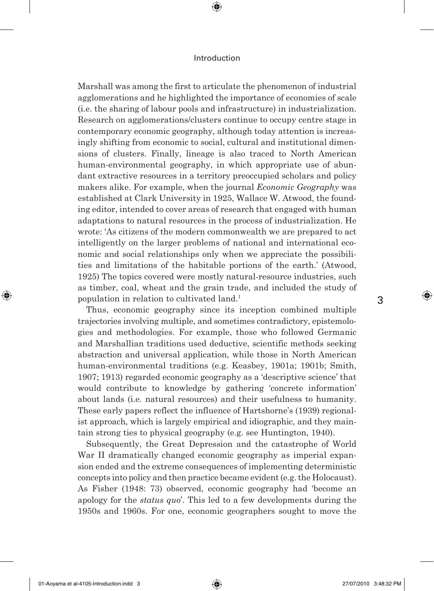⊕

Marshall was among the first to articulate the phenomenon of industrial agglomerations and he highlighted the importance of economies of scale (i.e. the sharing of labour pools and infrastructure) in industrialization. Research on agglomerations/clusters continue to occupy centre stage in contemporary economic geography, although today attention is increasingly shifting from economic to social, cultural and institutional dimensions of clusters. Finally, lineage is also traced to North American human-environmental geography, in which appropriate use of abundant extractive resources in a territory preoccupied scholars and policy makers alike. For example, when the journal *Economic Geography* was established at Clark University in 1925, Wallace W. Atwood, the founding editor, intended to cover areas of research that engaged with human adaptations to natural resources in the process of industrialization. He wrote: 'As citizens of the modern commonwealth we are prepared to act intelligently on the larger problems of national and international economic and social relationships only when we appreciate the possibilities and limitations of the habitable portions of the earth.' (Atwood, 1925) The topics covered were mostly natural-resource industries, such as timber, coal, wheat and the grain trade, and included the study of population in relation to cultivated land.<sup>1</sup>

Thus, economic geography since its inception combined multiple trajectories involving multiple, and sometimes contradictory, epistemologies and methodologies. For example, those who followed Germanic and Marshallian traditions used deductive, scientific methods seeking abstraction and universal application, while those in North American human-environmental traditions (e.g. Keasbey, 1901a; 1901b; Smith, 1907; 1913) regarded economic geography as a 'descriptive science' that would contribute to knowledge by gathering 'concrete information' about lands (i.e. natural resources) and their usefulness to humanity. These early papers reflect the influence of Hartshorne's (1939) regionalist approach, which is largely empirical and idiographic, and they maintain strong ties to physical geography (e.g. see Huntington, 1940).

Subsequently, the Great Depression and the catastrophe of World War II dramatically changed economic geography as imperial expansion ended and the extreme consequences of implementing deterministic concepts into policy and then practice became evident (e.g. the Holocaust). As Fisher (1948: 73) observed, economic geography had 'become an apology for the *status quo*'. This led to a few developments during the 1950s and 1960s. For one, economic geographers sought to move the 3

♠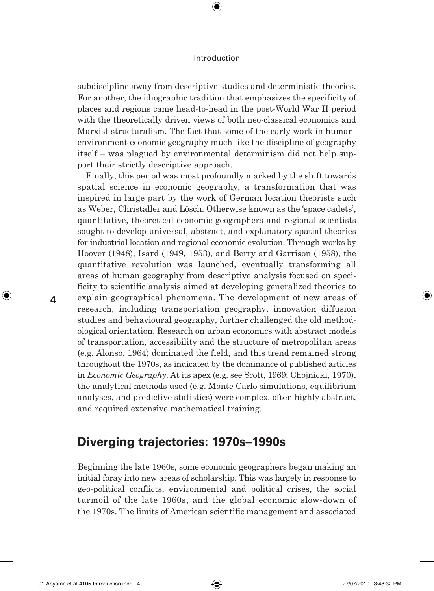$\bigcirc$ 

subdiscipline away from descriptive studies and deterministic theories. For another, the idiographic tradition that emphasizes the specificity of places and regions came head-to-head in the post-World War II period with the theoretically driven views of both neo-classical economics and Marxist structuralism. The fact that some of the early work in humanenvironment economic geography much like the discipline of geography itself – was plagued by environmental determinism did not help support their strictly descriptive approach.

Finally, this period was most profoundly marked by the shift towards spatial science in economic geography, a transformation that was inspired in large part by the work of German location theorists such as Weber, Christaller and Lösch. Otherwise known as the 'space cadets', quantitative, theoretical economic geographers and regional scientists sought to develop universal, abstract, and explanatory spatial theories for industrial location and regional economic evolution. Through works by Hoover (1948), Isard (1949, 1953), and Berry and Garrison (1958), the quantitative revolution was launched, eventually transforming all areas of human geography from descriptive analysis focused on specificity to scientific analysis aimed at developing generalized theories to explain geographical phenomena. The development of new areas of research, including transportation geography, innovation diffusion studies and behavioural geography, further challenged the old methodological orientation. Research on urban economics with abstract models of transportation, accessibility and the structure of metropolitan areas (e.g. Alonso, 1964) dominated the field, and this trend remained strong throughout the 1970s, as indicated by the dominance of published articles in *Economic Geography*. At its apex (e.g. see Scott, 1969; Chojnicki, 1970), the analytical methods used (e.g. Monte Carlo simulations, equilibrium analyses, and predictive statistics) were complex, often highly abstract, and required extensive mathematical training.

## **Diverging trajectories: 1970s–1990s**

Beginning the late 1960s, some economic geographers began making an initial foray into new areas of scholarship. This was largely in response to geo-political conflicts, environmental and political crises, the social turmoil of the late 1960s, and the global economic slow-down of the 1970s. The limits of American scientific management and associated

4

⊕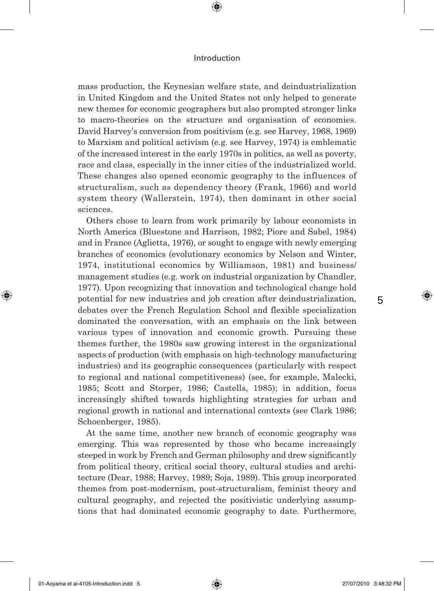⊕

mass production, the Keynesian welfare state, and deindustrialization in United Kingdom and the United States not only helped to generate new themes for economic geographers but also prompted stronger links to macro-theories on the structure and organisation of economies. David Harvey's conversion from positivism (e.g. see Harvey, 1968, 1969) to Marxism and political activism (e.g. see Harvey, 1974) is emblematic of the increased interest in the early 1970s in politics, as well as poverty, race and class, especially in the inner cities of the industrialized world. These changes also opened economic geography to the influences of structuralism, such as dependency theory (Frank, 1966) and world system theory (Wallerstein, 1974), then dominant in other social sciences.

Others chose to learn from work primarily by labour economists in North America (Bluestone and Harrison, 1982; Piore and Sabel, 1984) and in France (Aglietta, 1976), or sought to engage with newly emerging branches of economics (evolutionary economics by Nelson and Winter, 1974, institutional economics by Williamson, 1981) and business/ management studies (e.g. work on industrial organization by Chandler, 1977). Upon recognizing that innovation and technological change hold potential for new industries and job creation after deindustrialization, debates over the French Regulation School and flexible specialization dominated the conversation, with an emphasis on the link between various types of innovation and economic growth. Pursuing these themes further, the 1980s saw growing interest in the organizational aspects of production (with emphasis on high-technology manufacturing industries) and its geographic consequences (particularly with respect to regional and national competitiveness) (see, for example, Malecki, 1985; Scott and Storper, 1986; Castells, 1985); in addition, focus increasingly shifted towards highlighting strategies for urban and regional growth in national and international contexts (see Clark 1986; Schoenberger, 1985).

At the same time, another new branch of economic geography was emerging. This was represented by those who became increasingly steeped in work by French and German philosophy and drew significantly from political theory, critical social theory, cultural studies and architecture (Dear, 1988; Harvey, 1989; Soja, 1989). This group incorporated themes from post-modernism, post-structuralism, feminist theory and cultural geography, and rejected the positivistic underlying assumptions that had dominated economic geography to date. Furthermore, 5

♠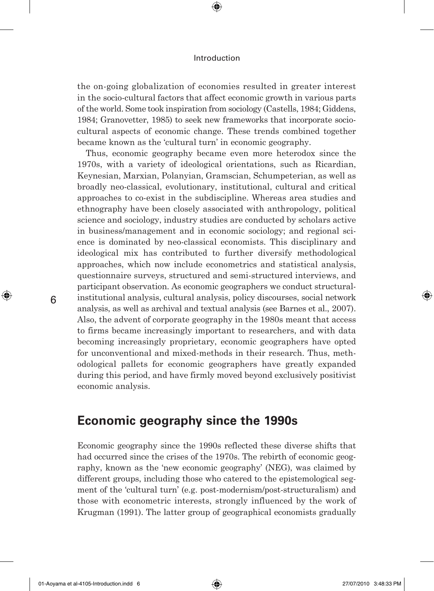⊕

the on-going globalization of economies resulted in greater interest in the socio-cultural factors that affect economic growth in various parts of the world. Some took inspiration from sociology (Castells, 1984; Giddens, 1984; Granovetter, 1985) to seek new frameworks that incorporate sociocultural aspects of economic change. These trends combined together became known as the 'cultural turn' in economic geography.

Thus, economic geography became even more heterodox since the 1970s, with a variety of ideological orientations, such as Ricardian, Keynesian, Marxian, Polanyian, Gramscian, Schumpeterian, as well as broadly neo-classical, evolutionary, institutional, cultural and critical approaches to co-exist in the subdiscipline. Whereas area studies and ethnography have been closely associated with anthropology, political science and sociology, industry studies are conducted by scholars active in business/management and in economic sociology; and regional science is dominated by neo-classical economists. This disciplinary and ideological mix has contributed to further diversify methodological approaches, which now include econometrics and statistical analysis, questionnaire surveys, structured and semi-structured interviews, and participant observation. As economic geographers we conduct structuralinstitutional analysis, cultural analysis, policy discourses, social network analysis, as well as archival and textual analysis (see Barnes et al., 2007). Also, the advent of corporate geography in the 1980s meant that access to firms became increasingly important to researchers, and with data becoming increasingly proprietary, economic geographers have opted for unconventional and mixed-methods in their research. Thus, methodological pallets for economic geographers have greatly expanded during this period, and have firmly moved beyond exclusively positivist economic analysis.

## **Economic geography since the 1990s**

Economic geography since the 1990s reflected these diverse shifts that had occurred since the crises of the 1970s. The rebirth of economic geography, known as the 'new economic geography' (NEG), was claimed by different groups, including those who catered to the epistemological segment of the 'cultural turn' (e.g. post-modernism/post-structuralism) and those with econometric interests, strongly influenced by the work of Krugman (1991). The latter group of geographical economists gradually

6

⊕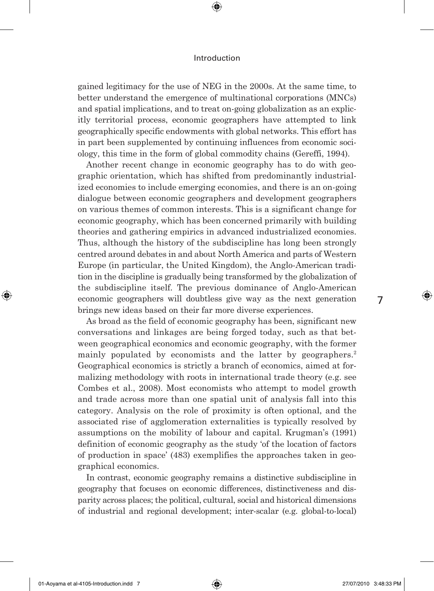$\bigcirc$ 

gained legitimacy for the use of NEG in the 2000s. At the same time, to better understand the emergence of multinational corporations (MNCs) and spatial implications, and to treat on-going globalization as an explicitly territorial process, economic geographers have attempted to link geographically specific endowments with global networks. This effort has in part been supplemented by continuing influences from economic sociology, this time in the form of global commodity chains (Gereffi, 1994).

Another recent change in economic geography has to do with geographic orientation, which has shifted from predominantly industrialized economies to include emerging economies, and there is an on-going dialogue between economic geographers and development geographers on various themes of common interests. This is a significant change for economic geography, which has been concerned primarily with building theories and gathering empirics in advanced industrialized economies. Thus, although the history of the subdiscipline has long been strongly centred around debates in and about North America and parts of Western Europe (in particular, the United Kingdom), the Anglo-American tradition in the discipline is gradually being transformed by the globalization of the subdiscipline itself. The previous dominance of Anglo-American economic geographers will doubtless give way as the next generation brings new ideas based on their far more diverse experiences.

As broad as the field of economic geography has been, significant new conversations and linkages are being forged today, such as that between geographical economics and economic geography, with the former mainly populated by economists and the latter by geographers.<sup>2</sup> Geographical economics is strictly a branch of economics, aimed at formalizing methodology with roots in international trade theory (e.g. see Combes et al., 2008). Most economists who attempt to model growth and trade across more than one spatial unit of analysis fall into this category. Analysis on the role of proximity is often optional, and the associated rise of agglomeration externalities is typically resolved by assumptions on the mobility of labour and capital. Krugman's (1991) definition of economic geography as the study 'of the location of factors of production in space' (483) exemplifies the approaches taken in geographical economics.

In contrast, economic geography remains a distinctive subdiscipline in geography that focuses on economic differences, distinctiveness and disparity across places; the political, cultural, social and historical dimensions of industrial and regional development; inter-scalar (e.g. global-to-local) 7

♠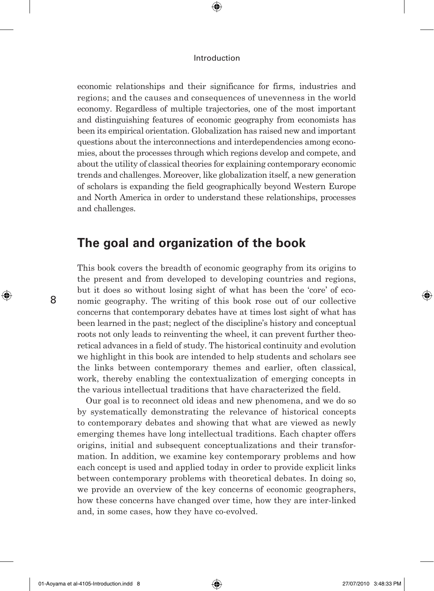$\bigcirc$ 

economic relationships and their significance for firms, industries and regions; and the causes and consequences of unevenness in the world economy. Regardless of multiple trajectories, one of the most important and distinguishing features of economic geography from economists has been its empirical orientation. Globalization has raised new and important questions about the interconnections and interdependencies among economies, about the processes through which regions develop and compete, and about the utility of classical theories for explaining contemporary economic trends and challenges. Moreover, like globalization itself, a new generation of scholars is expanding the field geographically beyond Western Europe and North America in order to understand these relationships, processes and challenges.

# **The goal and organization of the book**

This book covers the breadth of economic geography from its origins to the present and from developed to developing countries and regions, but it does so without losing sight of what has been the 'core' of economic geography. The writing of this book rose out of our collective concerns that contemporary debates have at times lost sight of what has been learned in the past; neglect of the discipline's history and conceptual roots not only leads to reinventing the wheel, it can prevent further theoretical advances in a field of study. The historical continuity and evolution we highlight in this book are intended to help students and scholars see the links between contemporary themes and earlier, often classical, work, thereby enabling the contextualization of emerging concepts in the various intellectual traditions that have characterized the field.

Our goal is to reconnect old ideas and new phenomena, and we do so by systematically demonstrating the relevance of historical concepts to contemporary debates and showing that what are viewed as newly emerging themes have long intellectual traditions. Each chapter offers origins, initial and subsequent conceptualizations and their transformation. In addition, we examine key contemporary problems and how each concept is used and applied today in order to provide explicit links between contemporary problems with theoretical debates. In doing so, we provide an overview of the key concerns of economic geographers, how these concerns have changed over time, how they are inter-linked and, in some cases, how they have co-evolved.

8

⊕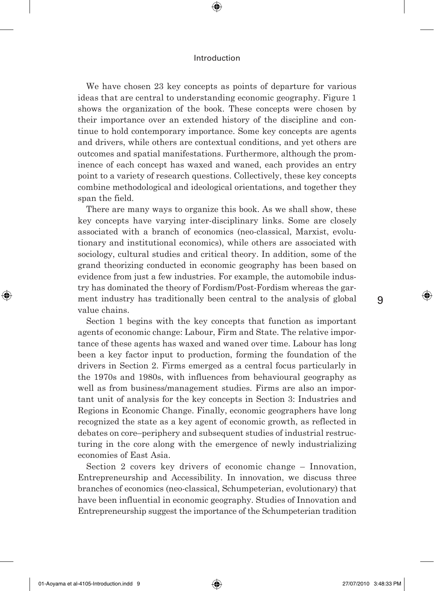⊕

We have chosen 23 key concepts as points of departure for various ideas that are central to understanding economic geography. Figure 1 shows the organization of the book. These concepts were chosen by their importance over an extended history of the discipline and continue to hold contemporary importance. Some key concepts are agents and drivers, while others are contextual conditions, and yet others are outcomes and spatial manifestations. Furthermore, although the prominence of each concept has waxed and waned, each provides an entry point to a variety of research questions. Collectively, these key concepts combine methodological and ideological orientations, and together they span the field.

There are many ways to organize this book. As we shall show, these key concepts have varying inter-disciplinary links. Some are closely associated with a branch of economics (neo-classical, Marxist, evolutionary and institutional economics), while others are associated with sociology, cultural studies and critical theory. In addition, some of the grand theorizing conducted in economic geography has been based on evidence from just a few industries. For example, the automobile industry has dominated the theory of Fordism/Post-Fordism whereas the garment industry has traditionally been central to the analysis of global value chains.

Section 1 begins with the key concepts that function as important agents of economic change: Labour, Firm and State. The relative importance of these agents has waxed and waned over time. Labour has long been a key factor input to production, forming the foundation of the drivers in Section 2. Firms emerged as a central focus particularly in the 1970s and 1980s, with influences from behavioural geography as well as from business/management studies. Firms are also an important unit of analysis for the key concepts in Section 3: Industries and Regions in Economic Change. Finally, economic geographers have long recognized the state as a key agent of economic growth, as reflected in debates on core–periphery and subsequent studies of industrial restructuring in the core along with the emergence of newly industrializing economies of East Asia.

Section 2 covers key drivers of economic change – Innovation, Entrepreneurship and Accessibility. In innovation, we discuss three branches of economics (neo-classical, Schumpeterian, evolutionary) that have been influential in economic geography. Studies of Innovation and Entrepreneurship suggest the importance of the Schumpeterian tradition 9

♠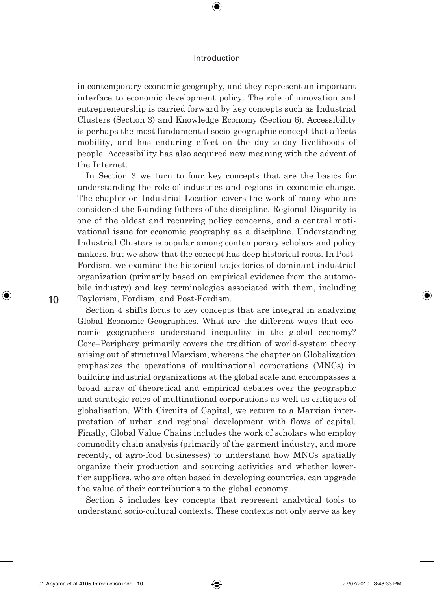⊕

in contemporary economic geography, and they represent an important interface to economic development policy. The role of innovation and entrepreneurship is carried forward by key concepts such as Industrial Clusters (Section 3) and Knowledge Economy (Section 6). Accessibility is perhaps the most fundamental socio-geographic concept that affects mobility, and has enduring effect on the day-to-day livelihoods of people. Accessibility has also acquired new meaning with the advent of the Internet.

In Section 3 we turn to four key concepts that are the basics for understanding the role of industries and regions in economic change. The chapter on Industrial Location covers the work of many who are considered the founding fathers of the discipline. Regional Disparity is one of the oldest and recurring policy concerns, and a central motivational issue for economic geography as a discipline. Understanding Industrial Clusters is popular among contemporary scholars and policy makers, but we show that the concept has deep historical roots. In Post-Fordism, we examine the historical trajectories of dominant industrial organization (primarily based on empirical evidence from the automobile industry) and key terminologies associated with them, including Taylorism, Fordism, and Post-Fordism.

Section 4 shifts focus to key concepts that are integral in analyzing Global Economic Geographies. What are the different ways that economic geographers understand inequality in the global economy? Core–Periphery primarily covers the tradition of world-system theory arising out of structural Marxism, whereas the chapter on Globalization emphasizes the operations of multinational corporations (MNCs) in building industrial organizations at the global scale and encompasses a broad array of theoretical and empirical debates over the geographic and strategic roles of multinational corporations as well as critiques of globalisation. With Circuits of Capital, we return to a Marxian interpretation of urban and regional development with flows of capital. Finally, Global Value Chains includes the work of scholars who employ commodity chain analysis (primarily of the garment industry, and more recently, of agro-food businesses) to understand how MNCs spatially organize their production and sourcing activities and whether lowertier suppliers, who are often based in developing countries, can upgrade the value of their contributions to the global economy.

Section 5 includes key concepts that represent analytical tools to understand socio-cultural contexts. These contexts not only serve as key

10

♠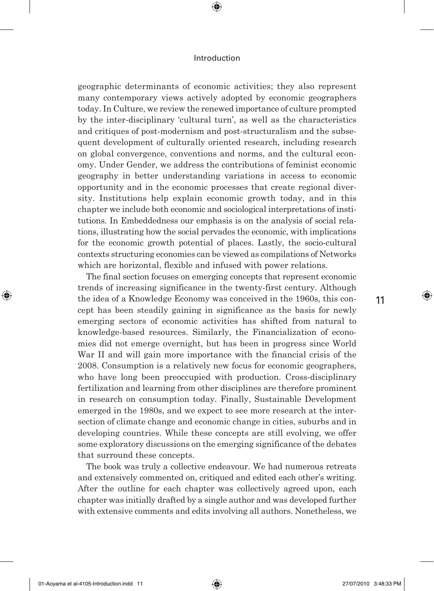⊕

geographic determinants of economic activities; they also represent many contemporary views actively adopted by economic geographers today. In Culture, we review the renewed importance of culture prompted by the inter-disciplinary 'cultural turn', as well as the characteristics and critiques of post-modernism and post-structuralism and the subsequent development of culturally oriented research, including research on global convergence, conventions and norms, and the cultural economy. Under Gender, we address the contributions of feminist economic geography in better understanding variations in access to economic opportunity and in the economic processes that create regional diversity. Institutions help explain economic growth today, and in this chapter we include both economic and sociological interpretations of institutions. In Embeddedness our emphasis is on the analysis of social relations, illustrating how the social pervades the economic, with implications for the economic growth potential of places. Lastly, the socio-cultural contexts structuring economies can be viewed as compilations of Networks which are horizontal, flexible and infused with power relations.

The final section focuses on emerging concepts that represent economic trends of increasing significance in the twenty-first century. Although the idea of a Knowledge Economy was conceived in the 1960s, this concept has been steadily gaining in significance as the basis for newly emerging sectors of economic activities has shifted from natural to knowledge-based resources. Similarly, the Financialization of economies did not emerge overnight, but has been in progress since World War II and will gain more importance with the financial crisis of the 2008. Consumption is a relatively new focus for economic geographers, who have long been preoccupied with production. Cross-disciplinary fertilization and learning from other disciplines are therefore prominent in research on consumption today. Finally, Sustainable Development emerged in the 1980s, and we expect to see more research at the intersection of climate change and economic change in cities, suburbs and in developing countries. While these concepts are still evolving, we offer some exploratory discussions on the emerging significance of the debates that surround these concepts.

The book was truly a collective endeavour. We had numerous retreats and extensively commented on, critiqued and edited each other's writing. After the outline for each chapter was collectively agreed upon, each chapter was initially drafted by a single author and was developed further with extensive comments and edits involving all authors. Nonetheless, we 11

♠